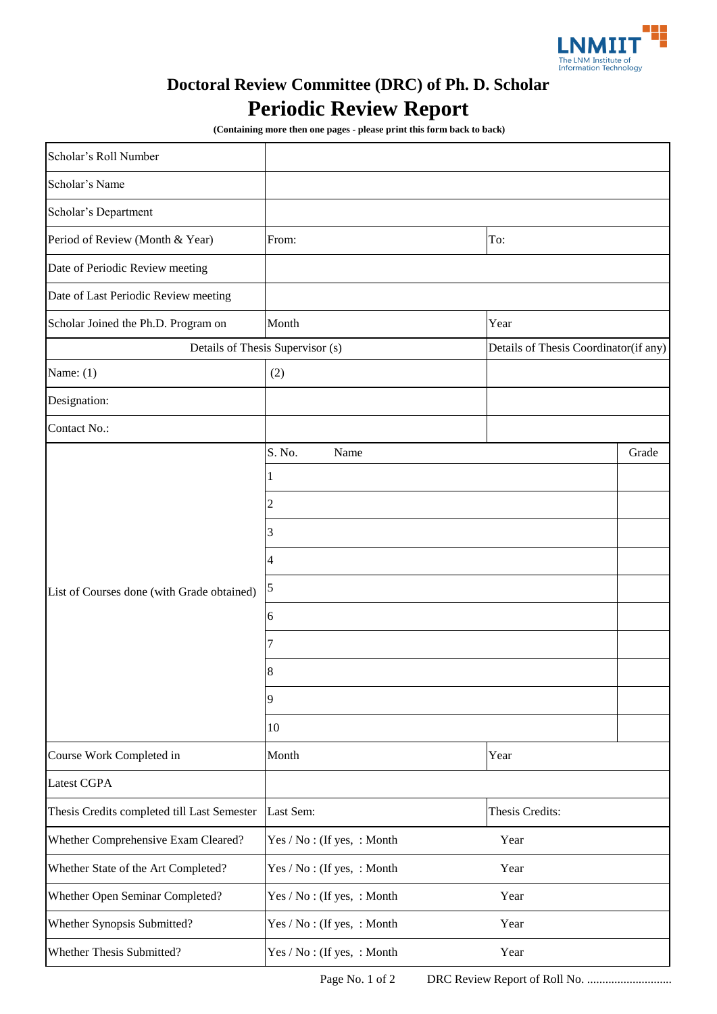

## **Doctoral Review Committee (DRC) of Ph. D. Scholar Periodic Review Report**

 **(Containing more then one pages - please print this form back to back)**

| Scholar's Roll Number                       |                                    |                                       |       |
|---------------------------------------------|------------------------------------|---------------------------------------|-------|
| Scholar's Name                              |                                    |                                       |       |
| Scholar's Department                        |                                    |                                       |       |
| Period of Review (Month & Year)             | To:<br>From:                       |                                       |       |
| Date of Periodic Review meeting             |                                    |                                       |       |
| Date of Last Periodic Review meeting        |                                    |                                       |       |
| Scholar Joined the Ph.D. Program on         | Month                              | Year                                  |       |
|                                             | Details of Thesis Supervisor (s)   | Details of Thesis Coordinator(if any) |       |
| Name: $(1)$                                 | (2)                                |                                       |       |
| Designation:                                |                                    |                                       |       |
| Contact No.:                                |                                    |                                       |       |
| List of Courses done (with Grade obtained)  | S. No.<br>Name                     |                                       | Grade |
|                                             | 1                                  |                                       |       |
|                                             | 2                                  |                                       |       |
|                                             | 3                                  |                                       |       |
|                                             | 4                                  |                                       |       |
|                                             | 5                                  |                                       |       |
|                                             | 6                                  |                                       |       |
|                                             | 7                                  |                                       |       |
|                                             | 8                                  |                                       |       |
|                                             | 9                                  |                                       |       |
|                                             | 10                                 |                                       |       |
| Course Work Completed in                    | Month                              | Year                                  |       |
| <b>Latest CGPA</b>                          |                                    |                                       |       |
| Thesis Credits completed till Last Semester | Last Sem:                          | Thesis Credits:                       |       |
| Whether Comprehensive Exam Cleared?         | Yes / No: (If yes, : Month         | Year                                  |       |
| Whether State of the Art Completed?         | Yes / No: (If yes, : Month         | Year                                  |       |
| Whether Open Seminar Completed?             | Yes / No: (If yes, : Month<br>Year |                                       |       |
| Whether Synopsis Submitted?                 | Yes / No: (If yes, : Month<br>Year |                                       |       |
| Whether Thesis Submitted?                   | Yes / No: (If yes, : Month<br>Year |                                       |       |

Page No. 1 of 2 DRC Review Report of Roll No. ............................